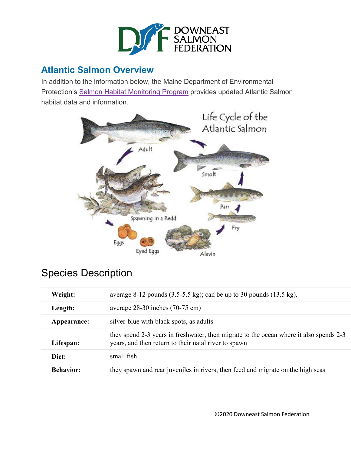

# **Atlantic Salmon Overview**

In addition to the information below, the Maine Department of Environmental Protection's Salmon Habitat [Monitoring](https://www.maine.gov/dep/water/monitoring/rivers_and_streams/salmon/index.htm) Program provides updated Atlantic Salmon habitat data and information.



# Species Description

| Weight:          | average 8-12 pounds $(3.5-5.5 \text{ kg})$ ; can be up to 30 pounds $(13.5 \text{ kg})$ .                                                      |
|------------------|------------------------------------------------------------------------------------------------------------------------------------------------|
| Length:          | average $28-30$ inches $(70-75 \text{ cm})$                                                                                                    |
| Appearance:      | silver-blue with black spots, as adults                                                                                                        |
| Lifespan:        | they spend 2-3 years in freshwater, then migrate to the ocean where it also spends 2-3<br>years, and then return to their natal river to spawn |
| Diet:            | small fish                                                                                                                                     |
| <b>Behavior:</b> | they spawn and rear juveniles in rivers, then feed and migrate on the high seas                                                                |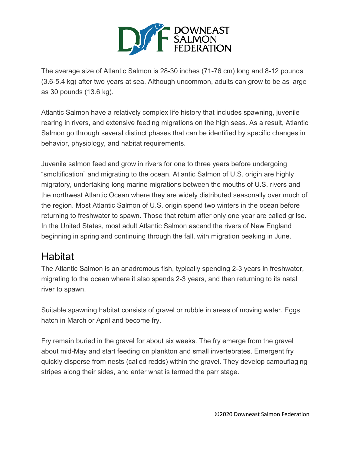

The average size of Atlantic Salmon is 28-30 inches (71-76 cm) long and 8-12 pounds (3.6-5.4 kg) after two years at sea. Although uncommon, adults can grow to be as large as 30 pounds (13.6 kg).

Atlantic Salmon have a relatively complex life history that includes spawning, juvenile rearing in rivers, and extensive feeding migrations on the high seas. As a result, Atlantic Salmon go through several distinct phases that can be identified by specific changes in behavior, physiology, and habitat requirements.

Juvenile salmon feed and grow in rivers for one to three years before undergoing "smoltification" and migrating to the ocean. Atlantic Salmon of U.S. origin are highly migratory, undertaking long marine migrations between the mouths of U.S. rivers and the northwest Atlantic Ocean where they are widely distributed seasonally over much of the region. Most Atlantic Salmon of U.S. origin spend two winters in the ocean before returning to freshwater to spawn. Those that return after only one year are called grilse. In the United States, most adult Atlantic Salmon ascend the rivers of New England beginning in spring and continuing through the fall, with migration peaking in June.

# Habitat

The Atlantic Salmon is an anadromous fish, typically spending 2-3 years in freshwater, migrating to the ocean where it also spends 2-3 years, and then returning to its natal river to spawn.

Suitable spawning habitat consists of gravel or rubble in areas of moving water. Eggs hatch in March or April and become fry.

Fry remain buried in the gravel for about six weeks. The fry emerge from the gravel about mid-May and start feeding on plankton and small invertebrates. Emergent fry quickly disperse from nests (called redds) within the gravel. They develop camouflaging stripes along their sides, and enter what is termed the parr stage.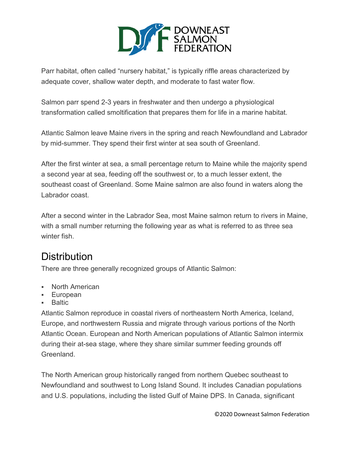

Parr habitat, often called "nursery habitat," is typically riffle areas characterized by adequate cover, shallow water depth, and moderate to fast water flow.

Salmon parr spend 2-3 years in freshwater and then undergo a physiological transformation called smoltification that prepares them for life in a marine habitat.

Atlantic Salmon leave Maine rivers in the spring and reach Newfoundland and Labrador by mid-summer. They spend their first winter at sea south of Greenland.

After the first winter at sea, a small percentage return to Maine while the majority spend a second year at sea, feeding off the southwest or, to a much lesser extent, the southeast coast of Greenland. Some Maine salmon are also found in waters along the Labrador coast.

After a second winter in the Labrador Sea, most Maine salmon return to rivers in Maine, with a small number returning the following year as what is referred to as three sea winter fish.

# **Distribution**

There are three generally recognized groups of Atlantic Salmon:

- North American
- European
- Baltic

Atlantic Salmon reproduce in coastal rivers of northeastern North America, Iceland, Europe, and northwestern Russia and migrate through various portions of the North Atlantic Ocean. European and North American populations of Atlantic Salmon intermix during their at-sea stage, where they share similar summer feeding grounds off Greenland.

The North American group historically ranged from northern Quebec southeast to Newfoundland and southwest to Long Island Sound. It includes Canadian populations and U.S. populations, including the listed Gulf of Maine DPS. In Canada, significant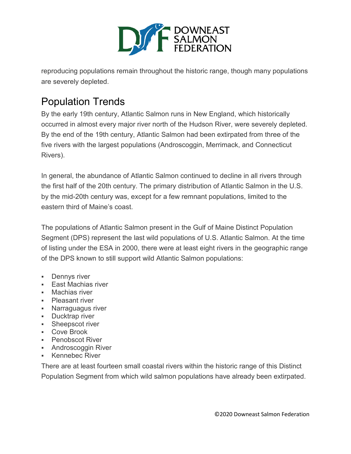

reproducing populations remain throughout the historic range, though many populations are severely depleted.

# Population Trends

By the early 19th century, Atlantic Salmon runs in New England, which historically occurred in almost every major river north of the Hudson River, were severely depleted. By the end of the 19th century, Atlantic Salmon had been extirpated from three of the five rivers with the largest populations (Androscoggin, Merrimack, and Connecticut Rivers).

In general, the abundance of Atlantic Salmon continued to decline in all rivers through the first half of the 20th century. The primary distribution of Atlantic Salmon in the U.S. by the mid-20th century was, except for a few remnant populations, limited to the eastern third of Maine's coast.

The populations of Atlantic Salmon present in the Gulf of Maine Distinct Population Segment (DPS) represent the last wild populations of U.S. Atlantic Salmon. At the time of listing under the ESA in 2000, there were at least eight rivers in the geographic range of the DPS known to still support wild Atlantic Salmon populations:

- **Dennys river**
- **East Machias river**
- **Machias river**
- Pleasant river
- **Narraguagus river**
- **Ducktrap river**
- **Sheepscot river**
- Cove Brook
- **-** Penobscot River
- **Androscoggin River**
- Kennebec River

There are at least fourteen small coastal rivers within the historic range of this Distinct Population Segment from which wild salmon populations have already been extirpated.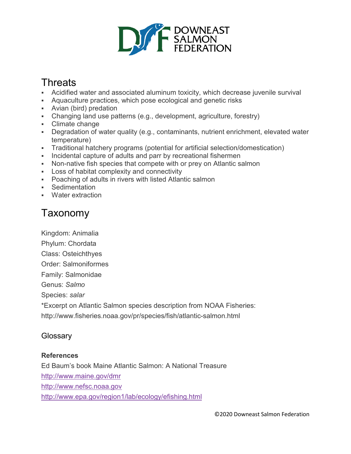

# **Threats**

- Acidified water and associated aluminum toxicity, which decrease juvenile survival
- Aquaculture practices, which pose ecological and genetic risks
- Avian (bird) predation
- Changing land use patterns (e.g., development, agriculture, forestry)
- Climate change
- Degradation of water quality (e.g., contaminants, nutrient enrichment, elevated water temperature)
- Traditional hatchery programs (potential for artificial selection/domestication)
- Incidental capture of adults and parr by recreational fishermen
- Non-native fish species that compete with or prey on Atlantic salmon
- Loss of habitat complexity and connectivity
- Poaching of adults in rivers with listed Atlantic salmon
- Sedimentation
- Water extraction

# Taxonomy

Kingdom: Animalia

- Phylum: Chordata
- Class: Osteichthyes
- Order: Salmoniformes
- Family: Salmonidae
- Genus: *Salmo*

Species: *salar*

\*Excerpt on Atlantic Salmon species description from NOAA Fisheries:

http://www.fisheries.noaa.gov/pr/species/fish/atlantic-salmon.html

# **Glossary**

# **References**

Ed Baum's book Maine Atlantic Salmon: A National Treasure <http://www.maine.gov/dmr> [http://www.nefsc.noaa.gov](http://www.nefsc.noaa.gov/) <http://www.epa.gov/region1/lab/ecology/efishing.html>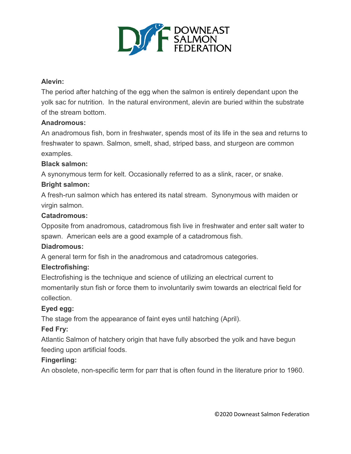

#### **Alevin:**

The period after hatching of the egg when the salmon is entirely dependant upon the yolk sac for nutrition. In the natural environment, alevin are buried within the substrate of the stream bottom.

#### **Anadromous:**

An anadromous fish, born in freshwater, spends most of its life in the sea and returns to freshwater to spawn. Salmon, smelt, shad, striped bass, and sturgeon are common examples.

#### **Black salmon:**

A synonymous term for kelt. Occasionally referred to as a slink, racer, or snake.

#### **Bright salmon:**

A fresh-run salmon which has entered its natal stream. Synonymous with maiden or virgin salmon.

#### **Catadromous:**

Opposite from anadromous, catadromous fish live in freshwater and enter salt water to spawn. American eels are a good example of a catadromous fish.

#### **Diadromous:**

A general term for fish in the anadromous and catadromous categories.

#### **Electrofishing:**

Electrofishing is the technique and science of utilizing an electrical current to momentarily stun fish or force them to involuntarily swim towards an electrical field for collection.

#### **Eyed egg:**

The stage from the appearance of faint eyes until hatching (April).

#### **Fed Fry:**

Atlantic Salmon of hatchery origin that have fully absorbed the yolk and have begun feeding upon artificial foods.

#### **Fingerling:**

An obsolete, non-specific term for parr that is often found in the literature prior to 1960.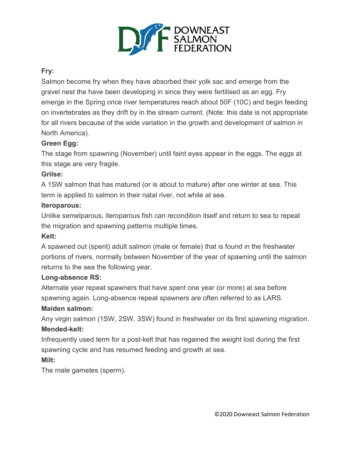

#### **Fry:**

Salmon become fry when they have absorbed their yolk sac and emerge from the gravel nest the have been developing in since they were fertilised as an egg. Fry emerge in the Spring once river temperatures reach about 50F (10C) and begin feeding on invertebrates as they drift by in the stream current. (Note: this date is not appropriate for all rivers because of the wide variation in the growth and development of salmon in North America).

#### **Green Egg:**

The stage from spawning (November) until faint eyes appear in the eggs. The eggs at this stage are very fragile.

#### **Grilse:**

A 1SW salmon that has matured (or is about to mature) after one winter at sea. This term is applied to salmon in their natal river, not while at sea.

#### **Iteroparous:**

Unlike semelparous, iteroparous fish can recondition itself and return to sea to repeat the migration and spawning patterns multiple times.

#### **Kelt:**

A spawned out (spent) adult salmon (male or female) that is found in the freshwater portions of rivers, normally between November of the year of spawning until the salmon returns to the sea the following year.

#### **Long-absence RS:**

Alternate year repeat spawners that have spent one year (or more) at sea before spawning again. Long-absence repeat spawners are often referred to as LARS.

#### **Maiden salmon:**

Any virgin salmon (1SW, 2SW, 3SW) found in freshwater on its first spawning migration. **Mended-kelt:**

Infrequently used term for a post-kelt that has regained the weight lost during the first spawning cycle and has resumed feeding and growth at sea.

# **Milt:**

The male gametes (sperm).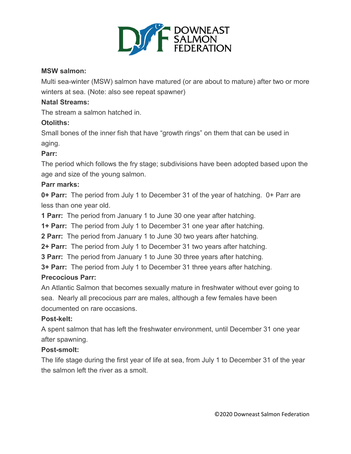

#### **MSW salmon:**

Multi sea-winter (MSW) salmon have matured (or are about to mature) after two or more winters at sea. (Note: also see repeat spawner)

#### **Natal Streams:**

The stream a salmon hatched in.

#### **Otoliths:**

Small bones of the inner fish that have "growth rings" on them that can be used in aging.

#### **Parr:**

The period which follows the fry stage; subdivisions have been adopted based upon the age and size of the young salmon.

#### **Parr marks:**

**0+ Parr:** The period from July 1 to December 31 of the year of hatching. 0+ Parr are less than one year old.

**1 Parr:** The period from January 1 to June 30 one year after hatching.

**1+ Parr:** The period from July 1 to December 31 one year after hatching.

**2 Parr:** The period from January 1 to June 30 two years after hatching.

**2+ Parr:** The period from July 1 to December 31 two years after hatching.

**3 Parr:** The period from January 1 to June 30 three years after hatching.

**3+ Parr:** The period from July 1 to December 31 three years after hatching.

#### **Precocious Parr:**

An Atlantic Salmon that becomes sexually mature in freshwater without ever going to sea. Nearly all precocious parr are males, although a few females have been documented on rare occasions.

#### **Post-kelt:**

A spent salmon that has left the freshwater environment, until December 31 one year after spawning.

#### **Post-smolt:**

The life stage during the first year of life at sea, from July 1 to December 31 of the year the salmon left the river as a smolt.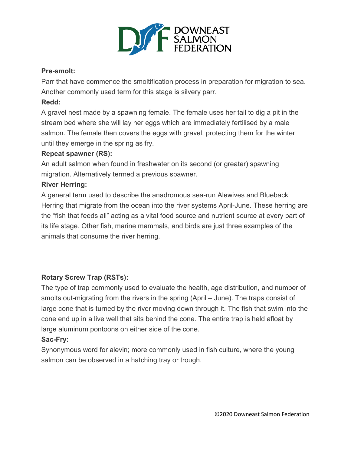

#### **Pre-smolt:**

Parr that have commence the smoltification process in preparation for migration to sea. Another commonly used term for this stage is silvery parr.

### **Redd:**

A gravel nest made by a spawning female. The female uses her tail to dig a pit in the stream bed where she will lay her eggs which are immediately fertilised by a male salmon. The female then covers the eggs with gravel, protecting them for the winter until they emerge in the spring as fry.

#### **Repeat spawner (RS):**

An adult salmon when found in freshwater on its second (or greater) spawning migration. Alternatively termed a previous spawner.

#### **River Herring:**

A general term used to describe the anadromous sea-run Alewives and Blueback Herring that migrate from the ocean into the river systems April-June. These herring are the "fish that feeds all" acting as a vital food source and nutrient source at every part of its life stage. Other fish, marine mammals, and birds are just three examples of the animals that consume the river herring.

# **Rotary Screw Trap (RSTs):**

The type of trap commonly used to evaluate the health, age distribution, and number of smolts out-migrating from the rivers in the spring (April – June). The traps consist of large cone that is turned by the river moving down through it. The fish that swim into the cone end up in a live well that sits behind the cone. The entire trap is held afloat by large aluminum pontoons on either side of the cone.

# **Sac-Fry:**

Synonymous word for alevin; more commonly used in fish culture, where the young salmon can be observed in a hatching tray or trough.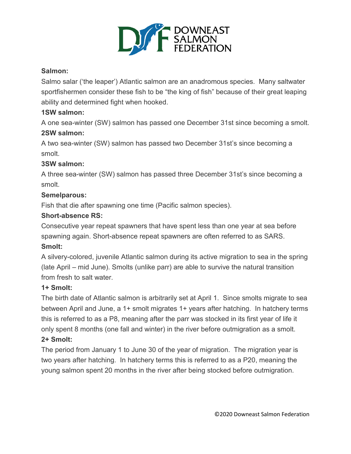

#### **Salmon:**

Salmo salar ('the leaper') Atlantic salmon are an anadromous species. Many saltwater sportfishermen consider these fish to be "the king of fish" because of their great leaping ability and determined fight when hooked.

#### **1SW salmon:**

A one sea-winter (SW) salmon has passed one December 31st since becoming a smolt. **2SW salmon:** 

A two sea-winter (SW) salmon has passed two December 31st's since becoming a smolt.

#### **3SW salmon:**

A three sea-winter (SW) salmon has passed three December 31st's since becoming a smolt.

#### **Semelparous:**

Fish that die after spawning one time (Pacific salmon species).

#### **Short-absence RS:**

Consecutive year repeat spawners that have spent less than one year at sea before spawning again. Short-absence repeat spawners are often referred to as SARS.

#### **Smolt:**

A silvery-colored, juvenile Atlantic salmon during its active migration to sea in the spring (late April – mid June). Smolts (unlike parr) are able to survive the natural transition from fresh to salt water.

# **1+ Smolt:**

The birth date of Atlantic salmon is arbitrarily set at April 1. Since smolts migrate to sea between April and June, a 1+ smolt migrates 1+ years after hatching. In hatchery terms this is referred to as a P8, meaning after the parr was stocked in its first year of life it only spent 8 months (one fall and winter) in the river before outmigration as a smolt.

# **2+ Smolt:**

The period from January 1 to June 30 of the year of migration. The migration year is two years after hatching. In hatchery terms this is referred to as a P20, meaning the young salmon spent 20 months in the river after being stocked before outmigration.